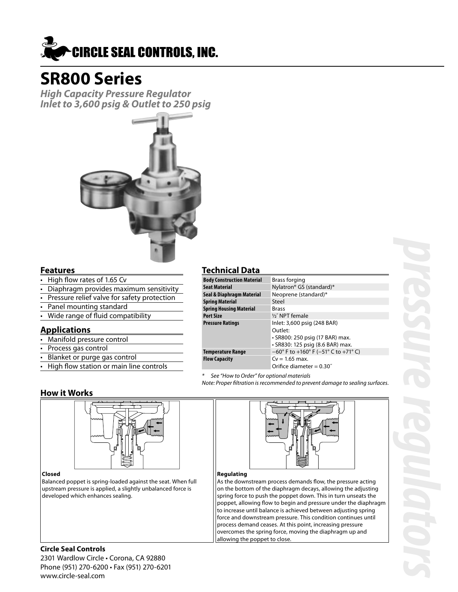

# **SR800 Series**

**High Capacity Pressure Regulator Inlet to 3,600 psig & Outlet to 250 psig**



#### **Features**

- High flow rates of 1.65 Cv
- Diaphragm provides maximum sensitivity
- Pressure relief valve for safety protection
- Panel mounting standard
- Wide range of fluid compatibility

#### **Applications**

- Manifold pressure control
- Process gas control
- Blanket or purge gas control
- High flow station or main line controls

### **How it Works**



#### **Closed**

Balanced poppet is spring-loaded against the seat. When full upstream pressure is applied, a slightly unbalanced force is developed which enhances sealing.

#### **Technical Data**

| <b>Body Construction Material</b> | Brass forging                                                                                                 |
|-----------------------------------|---------------------------------------------------------------------------------------------------------------|
| Seat Material                     | Nylatron® GS (standard)*                                                                                      |
| Seal & Diaphragm Material         | Neoprene (standard)*                                                                                          |
| Spring Material                   | Steel                                                                                                         |
| Spring Housing Material           | Brass                                                                                                         |
| Port Size                         | 1/2" NPT female                                                                                               |
| Pressure Ratings                  | Inlet: 3,600 psig (248 BAR)<br>Outlet:<br>• SR800: 250 psig (17 BAR) max.<br>• SR830: 125 psig (8.6 BAR) max. |
| Temperature Range                 | $-60^{\circ}$ F to $+160^{\circ}$ F ( $-51^{\circ}$ C to $+71^{\circ}$ C)                                     |
| Flow Capacity                     | $Cv = 1.65$ max.<br>Orifice diameter = $0.30$ "                                                               |

See "How to Order" for optional materials

Note: Proper filtration is recommended to prevent damage to sealing surfaces.



#### **Regulating**

As the downstream process demands flow, the pressure acting on the bottom of the diaphragm decays, allowing the adjusting spring force to push the poppet down. This in turn unseats the poppet, allowing flow to begin and pressure under the diaphragm to increase until balance is achieved between adjusting spring force and downstream pressure. This condition continues until process demand ceases. At this point, increasing pressure overcomes the spring force, moving the diaphragm up and allowing the poppet to close.

#### **Circle Seal Controls**

2301 Wardlow Circle • Corona, CA 92880 Phone (951) 270-6200 • Fax (951) 270-6201 www.circle-seal.com